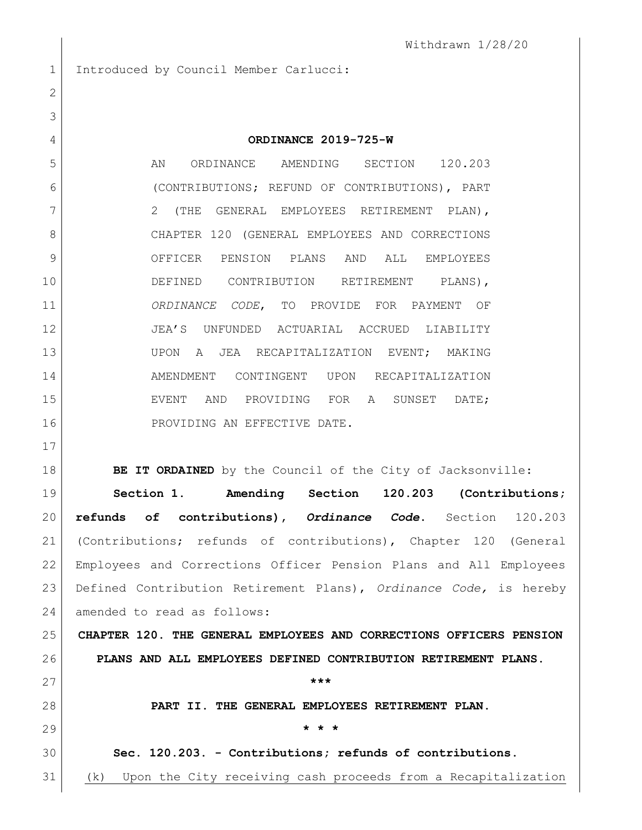Withdrawn 1/28/20

1 Introduced by Council Member Carlucci:

## **ORDINANCE 2019-725-W**

5 AN ORDINANCE AMENDING SECTION 120.203 (CONTRIBUTIONS; REFUND OF CONTRIBUTIONS), PART 7 | 2 (THE GENERAL EMPLOYEES RETIREMENT PLAN), CHAPTER 120 (GENERAL EMPLOYEES AND CORRECTIONS OFFICER PENSION PLANS AND ALL EMPLOYEES DEFINED CONTRIBUTION RETIREMENT PLANS), *ORDINANCE CODE*, TO PROVIDE FOR PAYMENT OF JEA'S UNFUNDED ACTUARIAL ACCRUED LIABILITY UPON A JEA RECAPITALIZATION EVENT; MAKING AMENDMENT CONTINGENT UPON RECAPITALIZATION EVENT AND PROVIDING FOR A SUNSET DATE; 16 PROVIDING AN EFFECTIVE DATE.

**BE IT ORDAINED** by the Council of the City of Jacksonville:

 **Section 1. Amending Section 120.203 (Contributions; refunds of contributions),** *Ordinance Code***.** Section 120.203 (Contributions; refunds of contributions), Chapter 120 (General Employees and Corrections Officer Pension Plans and All Employees Defined Contribution Retirement Plans), *Ordinance Code,* is hereby amended to read as follows:

 **CHAPTER 120. THE GENERAL EMPLOYEES AND CORRECTIONS OFFICERS PENSION PLANS AND ALL EMPLOYEES DEFINED CONTRIBUTION RETIREMENT PLANS.**

 **PART II. THE GENERAL EMPLOYEES RETIREMENT PLAN. \* \* \***

**Sec. 120.203. - Contributions; refunds of contributions.**

**\*\*\***

(k) Upon the City receiving cash proceeds from a Recapitalization